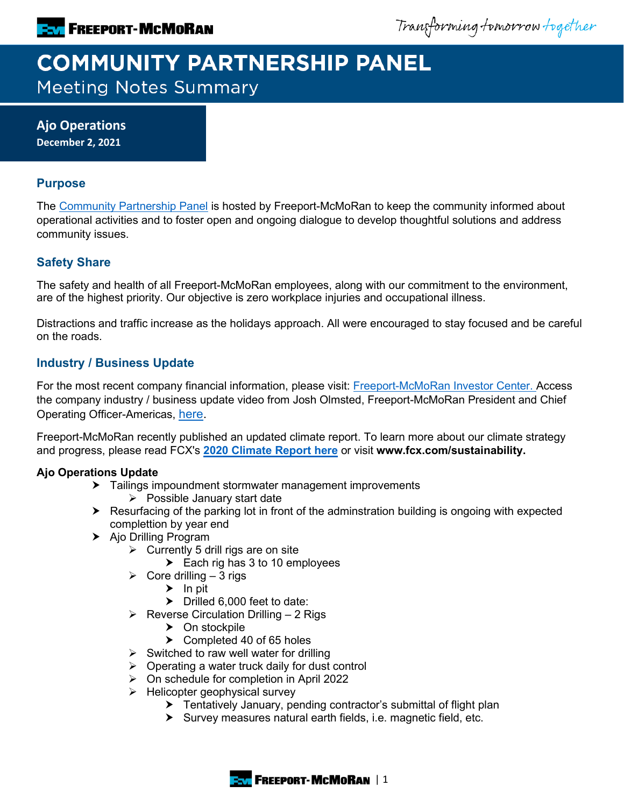Transforming tomorrow together

# **COMMUNITY PARTNERSHIP PANEL Meeting Notes Summary**

**Ajo Operations December 2, 2021**

## **Purpose**

The [Community Partnership Panel](https://www.freeportinmycommunity.com/stakeholders/stakeholder-engagement-) is hosted by Freeport-McMoRan to keep the community informed about operational activities and to foster open and ongoing dialogue to develop thoughtful solutions and address community issues.

# **Safety Share**

The safety and health of all Freeport-McMoRan employees, along with our commitment to the environment, are of the highest priority. Our objective is zero workplace injuries and occupational illness.

Distractions and traffic increase as the holidays approach. All were encouraged to stay focused and be careful on the roads.

## **Industry / Business Update**

For the most recent company financial information, please visit: **Freeport-McMoRan Investor Center.** Access the company industry / business update video from Josh Olmsted, Freeport-McMoRan President and Chief Operating Officer-Americas, [here.](https://youtu.be/cCXXaE3grIo)

Freeport-McMoRan recently published an updated climate report. To learn more about our climate strategy and progress, please read FCX's **[2020 Climate Report here](https://www.fcx.com/sites/fcx/files/documents/sustainability/2020-Climate-Report.pdf)** or visit **www.fcx.com/sustainability.**

## **Ajo Operations Update**

- Tailings impoundment stormwater management improvements
	- $\triangleright$  Possible January start date
- Resurfacing of the parking lot in front of the adminstration building is ongoing with expected complettion by year end
- > Ajo Drilling Program
	- $\triangleright$  Currently 5 drill rigs are on site
		- Each rig has 3 to 10 employees
	- $\triangleright$  Core drilling 3 rigs
		- $\blacktriangleright$  In pit
		- $\triangleright$  Drilled 6,000 feet to date:
	- $\triangleright$  Reverse Circulation Drilling 2 Rigs
		- > On stockpile
		- ▶ Completed 40 of 65 holes
	- $\triangleright$  Switched to raw well water for drilling
	- $\triangleright$  Operating a water truck daily for dust control
	- On schedule for completion in April 2022
	- $\triangleright$  Helicopter geophysical survey
		- Tentatively January, pending contractor's submittal of flight plan
		- $\triangleright$  Survey measures natural earth fields, i.e. magnetic field, etc.

**FREEPORT-MCMORAN | 1**